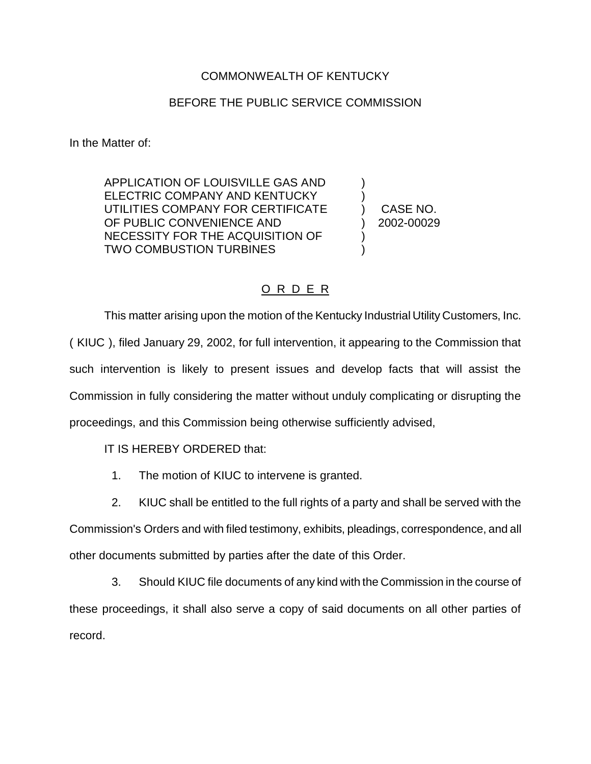## COMMONWEALTH OF KENTUCKY

## BEFORE THE PUBLIC SERVICE COMMISSION

In the Matter of:

APPLICATION OF LOUISVILLE GAS AND ) ELECTRIC COMPANY AND KENTUCKY UTILITIES COMPANY FOR CERTIFICATE ) CASE NO. OF PUBLIC CONVENIENCE AND (2002-00029) NECESSITY FOR THE ACQUISITION OF ) TWO COMBUSTION TURBINES

## O R D E R

This matter arising upon the motion of the Kentucky Industrial Utility Customers, Inc. ( KIUC ), filed January 29, 2002, for full intervention, it appearing to the Commission that such intervention is likely to present issues and develop facts that will assist the Commission in fully considering the matter without unduly complicating or disrupting the proceedings, and this Commission being otherwise sufficiently advised,

IT IS HEREBY ORDERED that:

- 1. The motion of KIUC to intervene is granted.
- 2. KIUC shall be entitled to the full rights of a party and shall be served with the

Commission's Orders and with filed testimony, exhibits, pleadings, correspondence, and all other documents submitted by parties after the date of this Order.

3. Should KIUC file documents of any kind with the Commission in the course of these proceedings, it shall also serve a copy of said documents on all other parties of record.